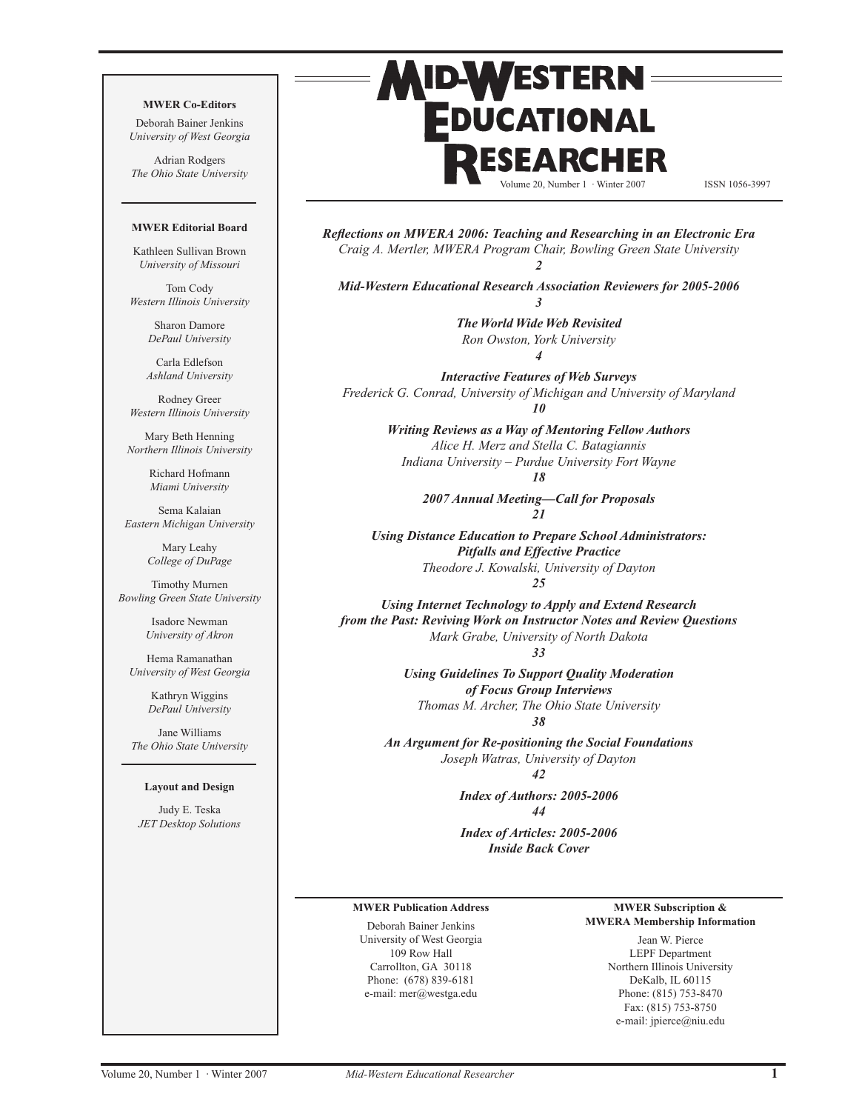#### **MWER Co-Editors**

Deborah Bainer Jenkins *University of West Georgia*

Adrian Rodgers *The Ohio State University*

#### **MWER Editorial Board**

Kathleen Sullivan Brown *University of Missouri*

Tom Cody *Western Illinois University*

> Sharon Damore *DePaul University*

Carla Edlefson *Ashland University*

Rodney Greer *Western Illinois University*

Mary Beth Henning *Northern Illinois University*

> Richard Hofmann *Miami University*

Sema Kalaian *Eastern Michigan University*

> Mary Leahy *College of DuPage*

Timothy Murnen *Bowling Green State University*

> Isadore Newman *University of Akron*

Hema Ramanathan *University of West Georgia*

> Kathryn Wiggins *DePaul University*

Jane Williams *The Ohio State University*

#### **Layout and Design**

Judy E. Teska *JET Desktop Solutions*

# **MID-WESTERN** EDUCATIONAL EARCHE

Volume 20, Number 1 · Winter 2007 ISSN 1056-3997

*Reflections on MWERA 2006: Teaching and Researching in an Electronic Era Craig A. Mertler, MWERA Program Chair, Bowling Green State University 2*

*Mid-Western Educational Research Association Reviewers for 2005-2006 3*

> *The World Wide Web Revisited Ron Owston, York University 4*

*Interactive Features of Web Surveys Frederick G. Conrad, University of Michigan and University of Maryland 10*

> *Writing Reviews as a Way of Mentoring Fellow Authors Alice H. Merz and Stella C. Batagiannis Indiana University – Purdue University Fort Wayne*

> > *18*

*2007 Annual Meeting—Call for Proposals 21*

*Using Distance Education to Prepare School Administrators: Pitfalls and Effective Practice Theodore J. Kowalski, University of Dayton 25*

*Using Internet Technology to Apply and Extend Research from the Past: Reviving Work on Instructor Notes and Review Questions Mark Grabe, University of North Dakota*

*33*

*Using Guidelines To Support Quality Moderation of Focus Group Interviews Thomas M. Archer, The Ohio State University 38*

*An Argument for Re-positioning the Social Foundations Joseph Watras, University of Dayton 42*

> *Index of Authors: 2005-2006 44*

> *Index of Articles: 2005-2006 Inside Back Cover*

#### **MWER Publication Address**

Deborah Bainer Jenkins University of West Georgia 109 Row Hall Carrollton, GA 30118 Phone: (678) 839-6181 e-mail: mer@westga.edu

#### **MWER Subscription & MWERA Membership Information**

Jean W. Pierce LEPF Department Northern Illinois University DeKalb, IL 60115 Phone: (815) 753-8470 Fax: (815) 753-8750 e-mail: jpierce@niu.edu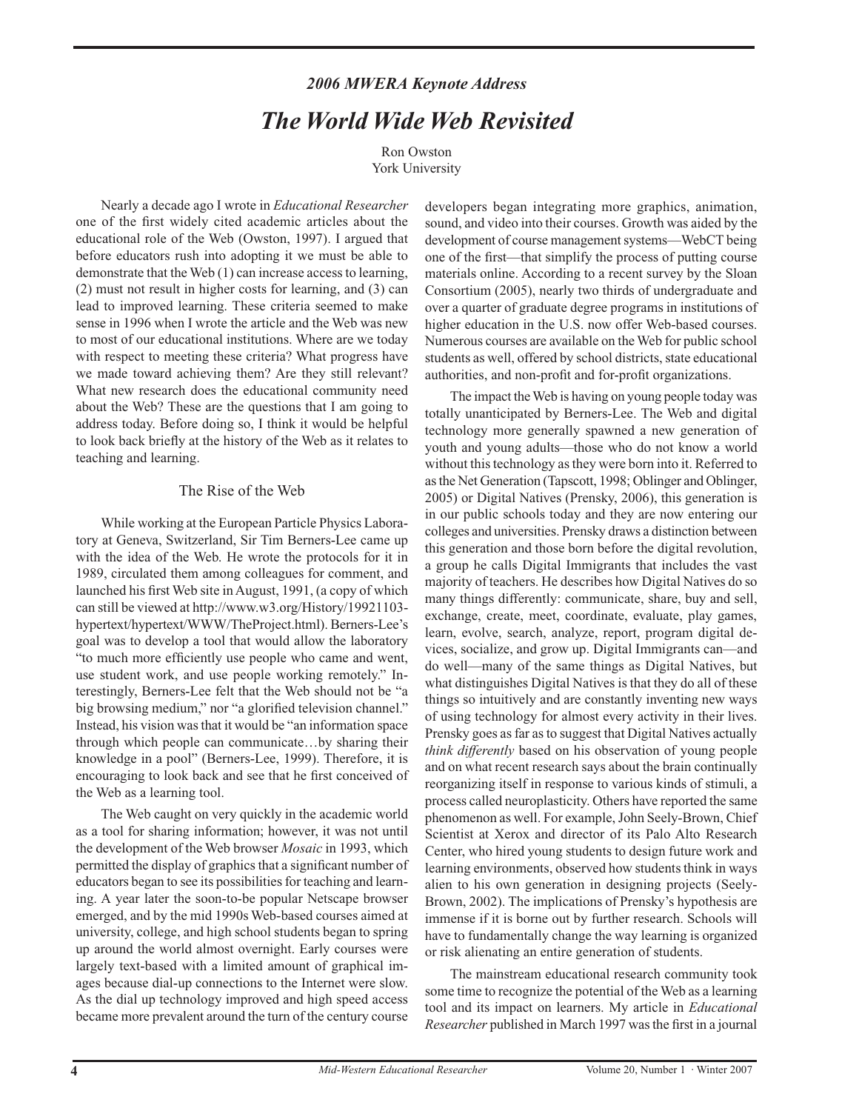# *2006 MWERA Keynote Address The World Wide Web Revisited*

Ron Owston York University

Nearly a decade ago I wrote in *Educational Researcher* one of the first widely cited academic articles about the educational role of the Web (Owston, 1997). I argued that before educators rush into adopting it we must be able to demonstrate that the Web (1) can increase access to learning, (2) must not result in higher costs for learning, and (3) can lead to improved learning. These criteria seemed to make sense in 1996 when I wrote the article and the Web was new to most of our educational institutions. Where are we today with respect to meeting these criteria? What progress have we made toward achieving them? Are they still relevant? What new research does the educational community need about the Web? These are the questions that I am going to address today. Before doing so, I think it would be helpful to look back briefly at the history of the Web as it relates to teaching and learning.

# The Rise of the Web

While working at the European Particle Physics Laboratory at Geneva, Switzerland, Sir Tim Berners-Lee came up with the idea of the Web. He wrote the protocols for it in 1989, circulated them among colleagues for comment, and launched his first Web site in August, 1991, (a copy of which can still be viewed at http://www.w3.org/History/19921103 hypertext/hypertext/WWW/TheProject.html). Berners-Lee's goal was to develop a tool that would allow the laboratory "to much more efficiently use people who came and went, use student work, and use people working remotely." Interestingly, Berners-Lee felt that the Web should not be "a big browsing medium," nor "a glorified television channel." Instead, his vision was that it would be "an information space through which people can communicate…by sharing their knowledge in a pool" (Berners-Lee, 1999). Therefore, it is encouraging to look back and see that he first conceived of the Web as a learning tool.

The Web caught on very quickly in the academic world as a tool for sharing information; however, it was not until the development of the Web browser *Mosaic* in 1993, which permitted the display of graphics that a significant number of educators began to see its possibilities for teaching and learning. A year later the soon-to-be popular Netscape browser emerged, and by the mid 1990s Web-based courses aimed at university, college, and high school students began to spring up around the world almost overnight. Early courses were largely text-based with a limited amount of graphical images because dial-up connections to the Internet were slow. As the dial up technology improved and high speed access became more prevalent around the turn of the century course

developers began integrating more graphics, animation, sound, and video into their courses. Growth was aided by the development of course management systems—WebCT being one of the first—that simplify the process of putting course materials online. According to a recent survey by the Sloan Consortium (2005), nearly two thirds of undergraduate and over a quarter of graduate degree programs in institutions of higher education in the U.S. now offer Web-based courses. Numerous courses are available on the Web for public school students as well, offered by school districts, state educational authorities, and non-profit and for-profit organizations.

The impact the Web is having on young people today was totally unanticipated by Berners-Lee. The Web and digital technology more generally spawned a new generation of youth and young adults—those who do not know a world without this technology as they were born into it. Referred to as the Net Generation (Tapscott, 1998; Oblinger and Oblinger, 2005) or Digital Natives (Prensky, 2006), this generation is in our public schools today and they are now entering our colleges and universities. Prensky draws a distinction between this generation and those born before the digital revolution, a group he calls Digital Immigrants that includes the vast majority of teachers. He describes how Digital Natives do so many things differently: communicate, share, buy and sell, exchange, create, meet, coordinate, evaluate, play games, learn, evolve, search, analyze, report, program digital devices, socialize, and grow up. Digital Immigrants can—and do well—many of the same things as Digital Natives, but what distinguishes Digital Natives is that they do all of these things so intuitively and are constantly inventing new ways of using technology for almost every activity in their lives. Prensky goes as far as to suggest that Digital Natives actually *think differently* based on his observation of young people and on what recent research says about the brain continually reorganizing itself in response to various kinds of stimuli, a process called neuroplasticity. Others have reported the same phenomenon as well. For example, John Seely-Brown, Chief Scientist at Xerox and director of its Palo Alto Research Center, who hired young students to design future work and learning environments, observed how students think in ways alien to his own generation in designing projects (Seely-Brown, 2002). The implications of Prensky's hypothesis are immense if it is borne out by further research. Schools will have to fundamentally change the way learning is organized or risk alienating an entire generation of students.

The mainstream educational research community took some time to recognize the potential of the Web as a learning tool and its impact on learners. My article in *Educational Researcher* published in March 1997 was the first in a journal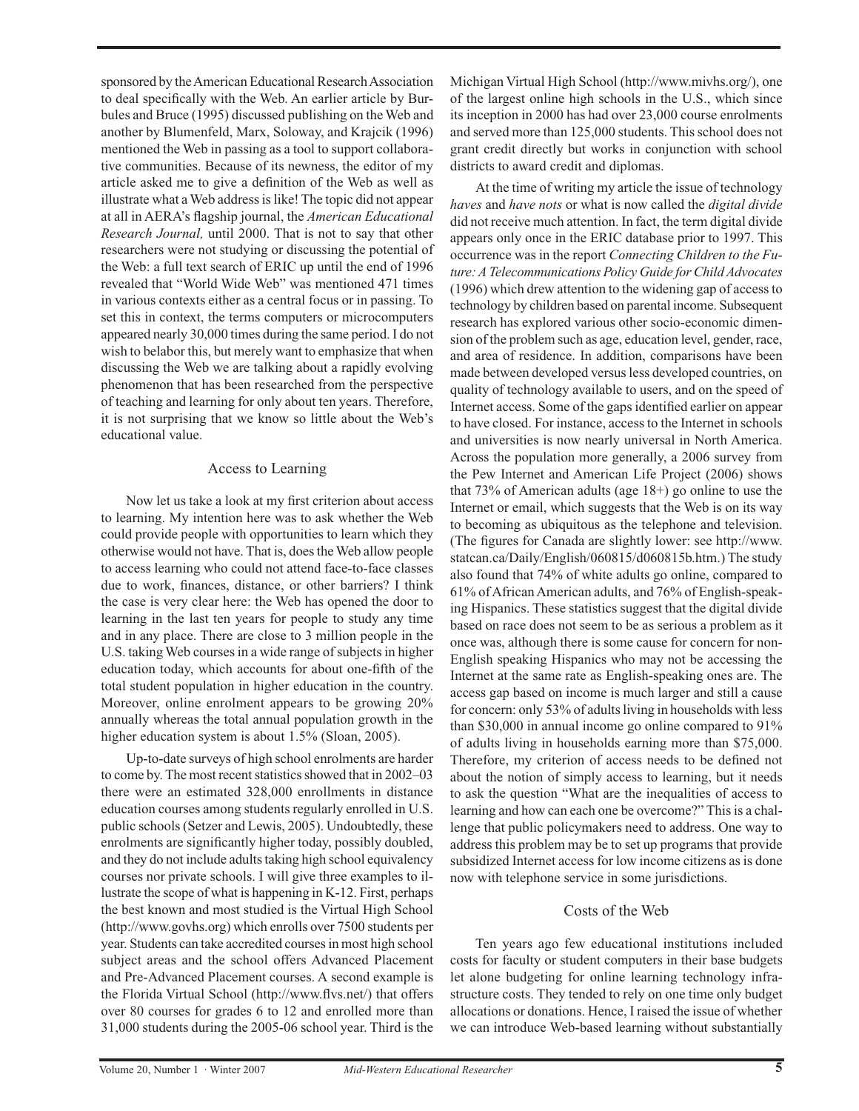sponsored by the American Educational Research Association to deal specifically with the Web. An earlier article by Burbules and Bruce (1995) discussed publishing on the Web and another by Blumenfeld, Marx, Soloway, and Krajcik (1996) mentioned the Web in passing as a tool to support collaborative communities. Because of its newness, the editor of my article asked me to give a definition of the Web as well as illustrate what a Web address is like! The topic did not appear at all in AERA's flagship journal, the *American Educational Research Journal,* until 2000. That is not to say that other researchers were not studying or discussing the potential of the Web: a full text search of ERIC up until the end of 1996 revealed that "World Wide Web" was mentioned 471 times in various contexts either as a central focus or in passing. To set this in context, the terms computers or microcomputers appeared nearly 30,000 times during the same period. I do not wish to belabor this, but merely want to emphasize that when discussing the Web we are talking about a rapidly evolving phenomenon that has been researched from the perspective of teaching and learning for only about ten years. Therefore, it is not surprising that we know so little about the Web's educational value.

#### Access to Learning

Now let us take a look at my first criterion about access to learning. My intention here was to ask whether the Web could provide people with opportunities to learn which they otherwise would not have. That is, does the Web allow people to access learning who could not attend face-to-face classes due to work, finances, distance, or other barriers? I think the case is very clear here: the Web has opened the door to learning in the last ten years for people to study any time and in any place. There are close to 3 million people in the U.S. taking Web courses in a wide range of subjects in higher education today, which accounts for about one-fifth of the total student population in higher education in the country. Moreover, online enrolment appears to be growing 20% annually whereas the total annual population growth in the higher education system is about 1.5% (Sloan, 2005).

Up-to-date surveys of high school enrolments are harder to come by. The most recent statistics showed that in 2002–03 there were an estimated 328,000 enrollments in distance education courses among students regularly enrolled in U.S. public schools (Setzer and Lewis, 2005). Undoubtedly, these enrolments are significantly higher today, possibly doubled, and they do not include adults taking high school equivalency courses nor private schools. I will give three examples to illustrate the scope of what is happening in K-12. First, perhaps the best known and most studied is the Virtual High School (http://www.govhs.org) which enrolls over 7500 students per year. Students can take accredited courses in most high school subject areas and the school offers Advanced Placement and Pre-Advanced Placement courses. A second example is the Florida Virtual School (http://www.flvs.net/) that offers over 80 courses for grades 6 to 12 and enrolled more than 31,000 students during the 2005-06 school year. Third is the

Michigan Virtual High School (http://www.mivhs.org/), one of the largest online high schools in the U.S., which since its inception in 2000 has had over 23,000 course enrolments and served more than 125,000 students. This school does not grant credit directly but works in conjunction with school districts to award credit and diplomas.

At the time of writing my article the issue of technology *haves* and *have nots* or what is now called the *digital divide* did not receive much attention. In fact, the term digital divide appears only once in the ERIC database prior to 1997. This occurrence was in the report *Connecting Children to the Future:ATelecommunications Policy Guide forChildAdvocates* (1996) which drew attention to the widening gap of access to technology by children based on parental income. Subsequent research has explored various other socio-economic dimension of the problem such as age, education level, gender, race, and area of residence. In addition, comparisons have been made between developed versus less developed countries, on quality of technology available to users, and on the speed of Internet access. Some of the gaps identified earlier on appear to have closed. For instance, access to the Internet in schools and universities is now nearly universal in North America. Across the population more generally, a 2006 survey from the Pew Internet and American Life Project (2006) shows that 73% of American adults (age 18+) go online to use the Internet or email, which suggests that the Web is on its way to becoming as ubiquitous as the telephone and television. (The figures for Canada are slightly lower: see http://www. statcan.ca/Daily/English/060815/d060815b.htm.) The study also found that 74% of white adults go online, compared to 61% of African American adults, and 76% of English-speaking Hispanics. These statistics suggest that the digital divide based on race does not seem to be as serious a problem as it once was, although there is some cause for concern for non-English speaking Hispanics who may not be accessing the Internet at the same rate as English-speaking ones are. The access gap based on income is much larger and still a cause for concern: only 53% of adults living in households with less than \$30,000 in annual income go online compared to 91% of adults living in households earning more than \$75,000. Therefore, my criterion of access needs to be defined not about the notion of simply access to learning, but it needs to ask the question "What are the inequalities of access to learning and how can each one be overcome?" This is a challenge that public policymakers need to address. One way to address this problem may be to set up programs that provide subsidized Internet access for low income citizens as is done now with telephone service in some jurisdictions.

### Costs of the Web

Ten years ago few educational institutions included costs for faculty or student computers in their base budgets let alone budgeting for online learning technology infrastructure costs. They tended to rely on one time only budget allocations or donations. Hence, I raised the issue of whether we can introduce Web-based learning without substantially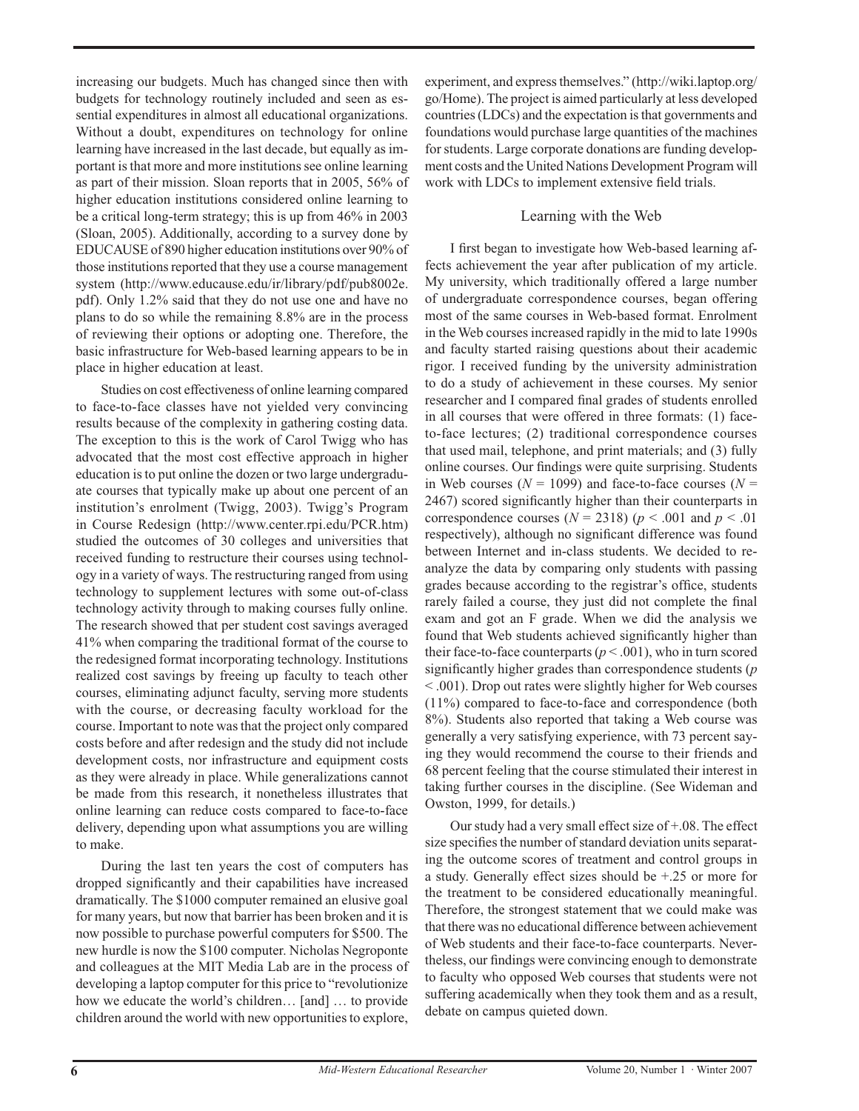increasing our budgets. Much has changed since then with budgets for technology routinely included and seen as essential expenditures in almost all educational organizations. Without a doubt, expenditures on technology for online learning have increased in the last decade, but equally as important is that more and more institutions see online learning as part of their mission. Sloan reports that in 2005, 56% of higher education institutions considered online learning to be a critical long-term strategy; this is up from 46% in 2003 (Sloan, 2005). Additionally, according to a survey done by EDUCAUSE of 890 higher education institutions over 90% of those institutions reported that they use a course management system (http://www.educause.edu/ir/library/pdf/pub8002e. pdf). Only 1.2% said that they do not use one and have no plans to do so while the remaining 8.8% are in the process of reviewing their options or adopting one. Therefore, the basic infrastructure for Web-based learning appears to be in place in higher education at least.

Studies on cost effectiveness of online learning compared to face-to-face classes have not yielded very convincing results because of the complexity in gathering costing data. The exception to this is the work of Carol Twigg who has advocated that the most cost effective approach in higher education is to put online the dozen or two large undergraduate courses that typically make up about one percent of an institution's enrolment (Twigg, 2003). Twigg's Program in Course Redesign (http://www.center.rpi.edu/PCR.htm) studied the outcomes of 30 colleges and universities that received funding to restructure their courses using technology in a variety of ways. The restructuring ranged from using technology to supplement lectures with some out-of-class technology activity through to making courses fully online. The research showed that per student cost savings averaged 41% when comparing the traditional format of the course to the redesigned format incorporating technology. Institutions realized cost savings by freeing up faculty to teach other courses, eliminating adjunct faculty, serving more students with the course, or decreasing faculty workload for the course. Important to note was that the project only compared costs before and after redesign and the study did not include development costs, nor infrastructure and equipment costs as they were already in place. While generalizations cannot be made from this research, it nonetheless illustrates that online learning can reduce costs compared to face-to-face delivery, depending upon what assumptions you are willing to make.

During the last ten years the cost of computers has dropped significantly and their capabilities have increased dramatically. The \$1000 computer remained an elusive goal for many years, but now that barrier has been broken and it is now possible to purchase powerful computers for \$500. The new hurdle is now the \$100 computer. Nicholas Negroponte and colleagues at the MIT Media Lab are in the process of developing a laptop computer for this price to "revolutionize how we educate the world's children… [and] … to provide children around the world with new opportunities to explore,

experiment, and express themselves." (http://wiki.laptop.org/ go/Home). The project is aimed particularly at less developed countries (LDCs) and the expectation is that governments and foundations would purchase large quantities of the machines for students. Large corporate donations are funding development costs and the United Nations Development Program will work with LDCs to implement extensive field trials.

# Learning with the Web

I first began to investigate how Web-based learning affects achievement the year after publication of my article. My university, which traditionally offered a large number of undergraduate correspondence courses, began offering most of the same courses in Web-based format. Enrolment in the Web courses increased rapidly in the mid to late 1990s and faculty started raising questions about their academic rigor. I received funding by the university administration to do a study of achievement in these courses. My senior researcher and I compared final grades of students enrolled in all courses that were offered in three formats: (1) faceto-face lectures; (2) traditional correspondence courses that used mail, telephone, and print materials; and (3) fully online courses. Our findings were quite surprising. Students in Web courses ( $N = 1099$ ) and face-to-face courses ( $N =$ 2467) scored significantly higher than their counterparts in correspondence courses  $(N = 2318)$   $(p < .001$  and  $p < .01$ respectively), although no significant difference was found between Internet and in-class students. We decided to reanalyze the data by comparing only students with passing grades because according to the registrar's office, students rarely failed a course, they just did not complete the final exam and got an F grade. When we did the analysis we found that Web students achieved significantly higher than their face-to-face counterparts ( $p < .001$ ), who in turn scored significantly higher grades than correspondence students (*p* < .001). Drop out rates were slightly higher for Web courses (11%) compared to face-to-face and correspondence (both 8%). Students also reported that taking a Web course was generally a very satisfying experience, with 73 percent saying they would recommend the course to their friends and 68 percent feeling that the course stimulated their interest in taking further courses in the discipline. (See Wideman and Owston, 1999, for details.)

Our study had a very small effect size of +.08. The effect size specifies the number of standard deviation units separating the outcome scores of treatment and control groups in a study. Generally effect sizes should be +.25 or more for the treatment to be considered educationally meaningful. Therefore, the strongest statement that we could make was that there was no educational difference between achievement of Web students and their face-to-face counterparts. Nevertheless, our findings were convincing enough to demonstrate to faculty who opposed Web courses that students were not suffering academically when they took them and as a result, debate on campus quieted down.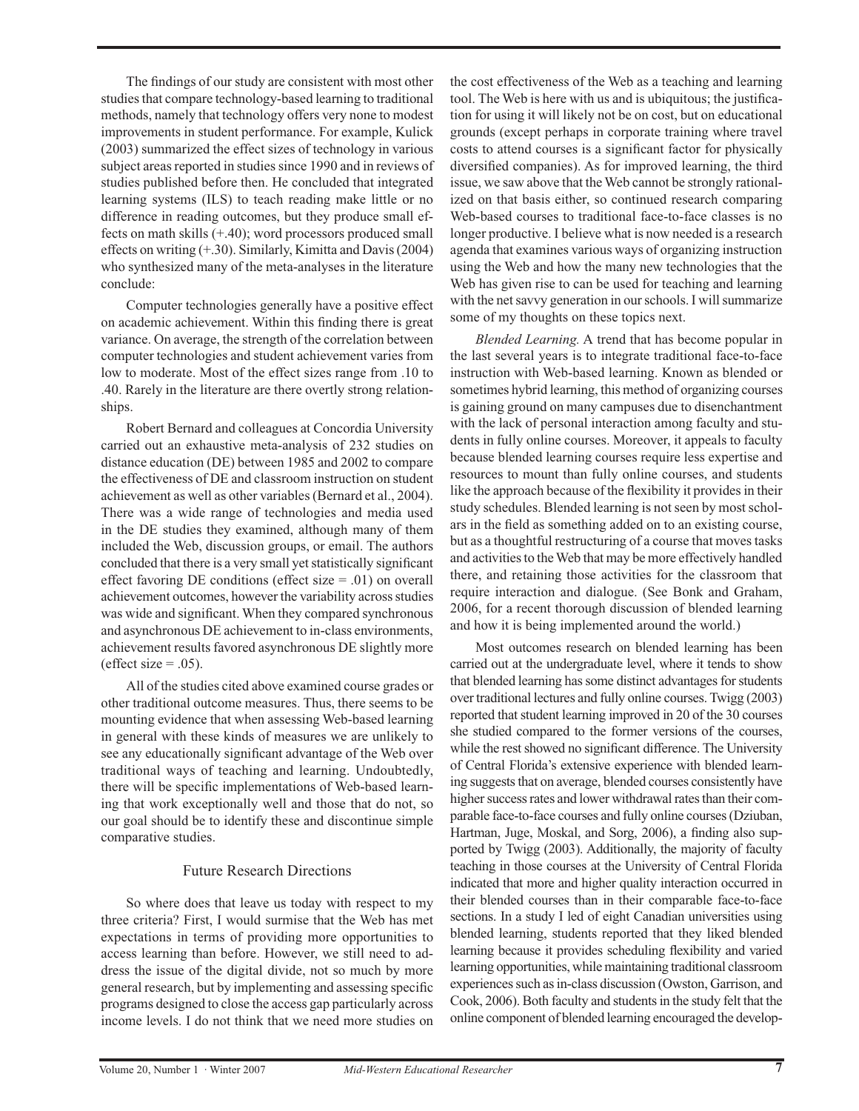The findings of our study are consistent with most other studies that compare technology-based learning to traditional methods, namely that technology offers very none to modest improvements in student performance. For example, Kulick (2003) summarized the effect sizes of technology in various subject areas reported in studies since 1990 and in reviews of studies published before then. He concluded that integrated learning systems (ILS) to teach reading make little or no difference in reading outcomes, but they produce small effects on math skills (+.40); word processors produced small effects on writing (+.30). Similarly, Kimitta and Davis (2004) who synthesized many of the meta-analyses in the literature conclude:

Computer technologies generally have a positive effect on academic achievement. Within this finding there is great variance. On average, the strength of the correlation between computer technologies and student achievement varies from low to moderate. Most of the effect sizes range from .10 to .40. Rarely in the literature are there overtly strong relationships.

Robert Bernard and colleagues at Concordia University carried out an exhaustive meta-analysis of 232 studies on distance education (DE) between 1985 and 2002 to compare the effectiveness of DE and classroom instruction on student achievement as well as other variables (Bernard et al., 2004). There was a wide range of technologies and media used in the DE studies they examined, although many of them included the Web, discussion groups, or email. The authors concluded that there is a very small yet statistically significant effect favoring DE conditions (effect size = .01) on overall achievement outcomes, however the variability across studies was wide and significant. When they compared synchronous and asynchronous DE achievement to in-class environments, achievement results favored asynchronous DE slightly more (effect size  $= .05$ ).

All of the studies cited above examined course grades or other traditional outcome measures. Thus, there seems to be mounting evidence that when assessing Web-based learning in general with these kinds of measures we are unlikely to see any educationally significant advantage of the Web over traditional ways of teaching and learning. Undoubtedly, there will be specific implementations of Web-based learning that work exceptionally well and those that do not, so our goal should be to identify these and discontinue simple comparative studies.

### Future Research Directions

So where does that leave us today with respect to my three criteria? First, I would surmise that the Web has met expectations in terms of providing more opportunities to access learning than before. However, we still need to address the issue of the digital divide, not so much by more general research, but by implementing and assessing specific programs designed to close the access gap particularly across income levels. I do not think that we need more studies on

the cost effectiveness of the Web as a teaching and learning tool. The Web is here with us and is ubiquitous; the justification for using it will likely not be on cost, but on educational grounds (except perhaps in corporate training where travel costs to attend courses is a significant factor for physically diversified companies). As for improved learning, the third issue, we saw above that the Web cannot be strongly rationalized on that basis either, so continued research comparing Web-based courses to traditional face-to-face classes is no longer productive. I believe what is now needed is a research agenda that examines various ways of organizing instruction using the Web and how the many new technologies that the Web has given rise to can be used for teaching and learning with the net savvy generation in our schools. I will summarize some of my thoughts on these topics next.

*Blended Learning.* A trend that has become popular in the last several years is to integrate traditional face-to-face instruction with Web-based learning. Known as blended or sometimes hybrid learning, this method of organizing courses is gaining ground on many campuses due to disenchantment with the lack of personal interaction among faculty and students in fully online courses. Moreover, it appeals to faculty because blended learning courses require less expertise and resources to mount than fully online courses, and students like the approach because of the flexibility it provides in their study schedules. Blended learning is not seen by most scholars in the field as something added on to an existing course, but as a thoughtful restructuring of a course that moves tasks and activities to the Web that may be more effectively handled there, and retaining those activities for the classroom that require interaction and dialogue. (See Bonk and Graham, 2006, for a recent thorough discussion of blended learning and how it is being implemented around the world.)

Most outcomes research on blended learning has been carried out at the undergraduate level, where it tends to show that blended learning has some distinct advantages for students over traditional lectures and fully online courses. Twigg (2003) reported that student learning improved in 20 of the 30 courses she studied compared to the former versions of the courses, while the rest showed no significant difference. The University of Central Florida's extensive experience with blended learning suggests that on average, blended courses consistently have higher success rates and lower withdrawal rates than their comparable face-to-face courses and fully online courses (Dziuban, Hartman, Juge, Moskal, and Sorg, 2006), a finding also supported by Twigg (2003). Additionally, the majority of faculty teaching in those courses at the University of Central Florida indicated that more and higher quality interaction occurred in their blended courses than in their comparable face-to-face sections. In a study I led of eight Canadian universities using blended learning, students reported that they liked blended learning because it provides scheduling flexibility and varied learning opportunities, while maintaining traditional classroom experiences such as in-class discussion (Owston, Garrison, and Cook, 2006). Both faculty and students in the study felt that the online component of blended learning encouraged the develop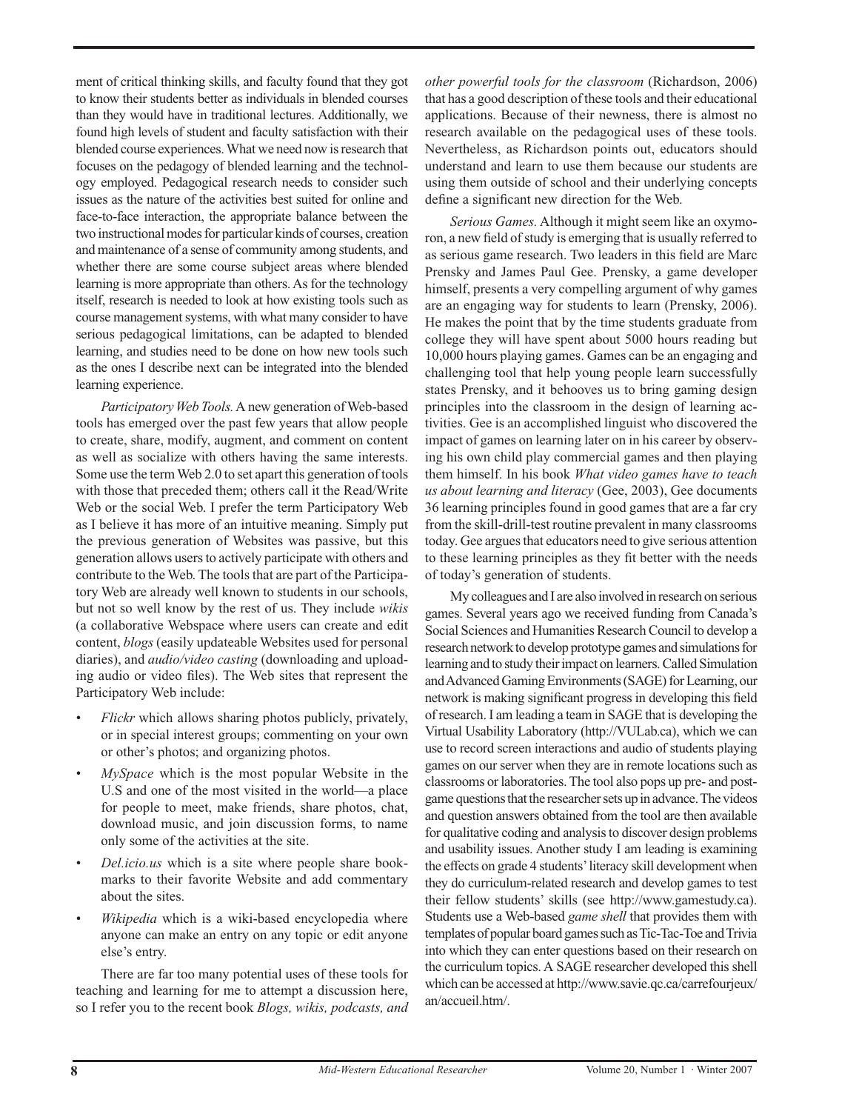ment of critical thinking skills, and faculty found that they got to know their students better as individuals in blended courses than they would have in traditional lectures. Additionally, we found high levels of student and faculty satisfaction with their blended course experiences. What we need now is research that focuses on the pedagogy of blended learning and the technology employed. Pedagogical research needs to consider such issues as the nature of the activities best suited for online and face-to-face interaction, the appropriate balance between the two instructional modes for particular kinds of courses, creation and maintenance of a sense of community among students, and whether there are some course subject areas where blended learning is more appropriate than others. As for the technology itself, research is needed to look at how existing tools such as course management systems, with what many consider to have serious pedagogical limitations, can be adapted to blended learning, and studies need to be done on how new tools such as the ones I describe next can be integrated into the blended learning experience.

*ParticipatoryWeb Tools.* A new generation of Web-based tools has emerged over the past few years that allow people to create, share, modify, augment, and comment on content as well as socialize with others having the same interests. Some use the term Web 2.0 to set apart this generation of tools with those that preceded them; others call it the Read/Write Web or the social Web. I prefer the term Participatory Web as I believe it has more of an intuitive meaning. Simply put the previous generation of Websites was passive, but this generation allows users to actively participate with others and contribute to the Web. The tools that are part of the Participatory Web are already well known to students in our schools, but not so well know by the rest of us. They include *wikis* (a collaborative Webspace where users can create and edit content, *blogs* (easily updateable Websites used for personal diaries), and *audio/video casting* (downloading and uploading audio or video files). The Web sites that represent the Participatory Web include:

- *Flickr* which allows sharing photos publicly, privately, or in special interest groups; commenting on your own or other's photos; and organizing photos. *•*
- *MySpace* which is the most popular Website in the U.S and one of the most visited in the world—a place for people to meet, make friends, share photos, chat, download music, and join discussion forms, to name only some of the activities at the site. *•*
- *Del.icio.us* which is a site where people share bookmarks to their favorite Website and add commentary about the sites. *•*
- *Wikipedia* which is a wiki-based encyclopedia where anyone can make an entry on any topic or edit anyone else's entry. *•*

There are far too many potential uses of these tools for teaching and learning for me to attempt a discussion here, so I refer you to the recent book *Blogs, wikis, podcasts, and*

*other powerful tools for the classroom* (Richardson, 2006) that has a good description of these tools and their educational applications. Because of their newness, there is almost no research available on the pedagogical uses of these tools. Nevertheless, as Richardson points out, educators should understand and learn to use them because our students are using them outside of school and their underlying concepts define a significant new direction for the Web.

*Serious Games.* Although it might seem like an oxymoron, a new field of study is emerging that is usually referred to as serious game research. Two leaders in this field are Marc Prensky and James Paul Gee. Prensky, a game developer himself, presents a very compelling argument of why games are an engaging way for students to learn (Prensky, 2006). He makes the point that by the time students graduate from college they will have spent about 5000 hours reading but 10,000 hours playing games. Games can be an engaging and challenging tool that help young people learn successfully states Prensky, and it behooves us to bring gaming design principles into the classroom in the design of learning activities. Gee is an accomplished linguist who discovered the impact of games on learning later on in his career by observing his own child play commercial games and then playing them himself. In his book *What video games have to teach us about learning and literacy* (Gee, 2003), Gee documents 36 learning principles found in good games that are a far cry from the skill-drill-test routine prevalent in many classrooms today. Gee argues that educators need to give serious attention to these learning principles as they fit better with the needs of today's generation of students.

My colleagues and I are also involved in research on serious games. Several years ago we received funding from Canada's Social Sciences and Humanities Research Council to develop a research network to develop prototype games and simulations for learning and to study their impact on learners. Called Simulation and Advanced Gaming Environments (SAGE) for Learning, our network is making significant progress in developing this field of research. I am leading a team in SAGE that is developing the Virtual Usability Laboratory (http://VULab.ca), which we can use to record screen interactions and audio of students playing games on our server when they are in remote locations such as classrooms or laboratories. The tool also pops up pre- and postgame questions that the researcher sets up in advance. The videos and question answers obtained from the tool are then available for qualitative coding and analysis to discover design problems and usability issues. Another study I am leading is examining the effects on grade 4 students' literacy skill development when they do curriculum-related research and develop games to test their fellow students' skills (see http://www.gamestudy.ca). Students use a Web-based *game shell* that provides them with templates of popular board games such as Tic-Tac-Toe and Trivia into which they can enter questions based on their research on the curriculum topics. A SAGE researcher developed this shell which can be accessed at http://www.savie.qc.ca/carrefourjeux/ an/accueil.htm/.